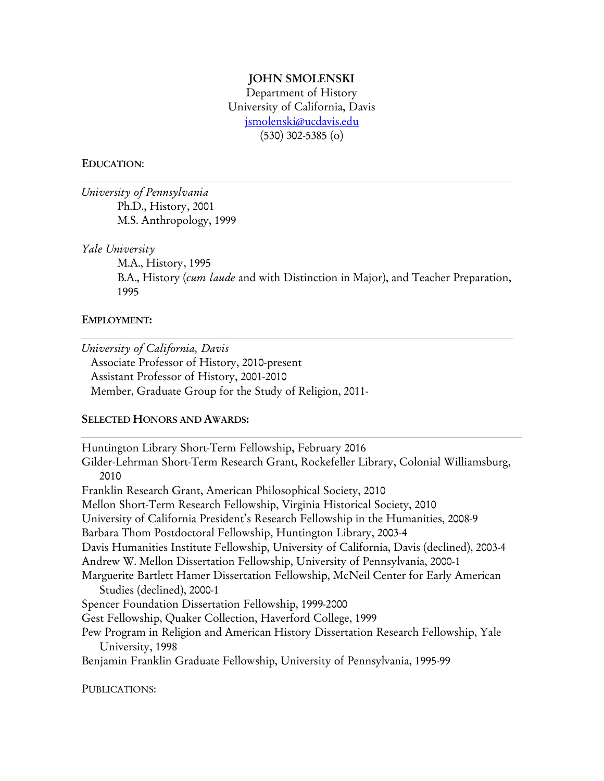#### **JOHN SMOLENSKI**

Department of History University of California, Davis jsmolenski@ucdavis.edu (530) 302-5385 (o)

#### **EDUCATION**:

*University of Pennsylvania* Ph.D., History, 2001 M.S. Anthropology, 1999

*Yale University*

M.A., History, 1995 B.A., History (*cum laude* and with Distinction in Major), and Teacher Preparation, 1995

#### **EMPLOYMENT:**

*University of California, Davis*

Associate Professor of History, 2010-present Assistant Professor of History, 2001-2010 Member, Graduate Group for the Study of Religion, 2011-

#### **SELECTED HONORS AND AWARDS:**

Huntington Library Short-Term Fellowship, February 2016 Gilder-Lehrman Short-Term Research Grant, Rockefeller Library, Colonial Williamsburg, 2010 Franklin Research Grant, American Philosophical Society, 2010 Mellon Short-Term Research Fellowship, Virginia Historical Society, 2010 University of California President's Research Fellowship in the Humanities, 2008-9 Barbara Thom Postdoctoral Fellowship, Huntington Library, 2003-4 Davis Humanities Institute Fellowship, University of California, Davis (declined), 2003-4 Andrew W. Mellon Dissertation Fellowship, University of Pennsylvania, 2000-1 Marguerite Bartlett Hamer Dissertation Fellowship, McNeil Center for Early American Studies (declined), 2000-1 Spencer Foundation Dissertation Fellowship, 1999-2000 Gest Fellowship, Quaker Collection, Haverford College, 1999 Pew Program in Religion and American History Dissertation Research Fellowship, Yale University, 1998 Benjamin Franklin Graduate Fellowship, University of Pennsylvania, 1995-99

PUBLICATIONS: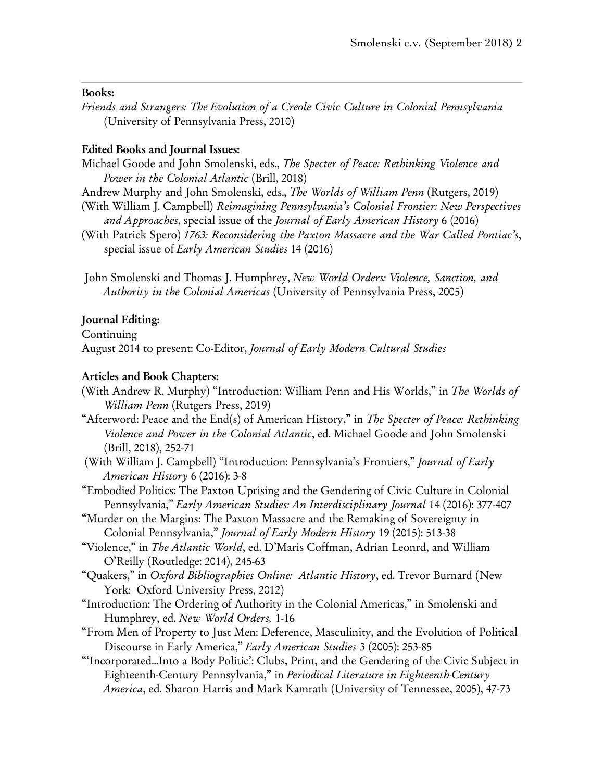### **Books:**

*Friends and Strangers: The Evolution of a Creole Civic Culture in Colonial Pennsylvania* (University of Pennsylvania Press, 2010)

## **Edited Books and Journal Issues:**

- Michael Goode and John Smolenski, eds., *The Specter of Peace: Rethinking Violence and Power in the Colonial Atlantic* (Brill, 2018)
- Andrew Murphy and John Smolenski, eds., *The Worlds of William Penn* (Rutgers, 2019)
- (With William J. Campbell) *Reimagining Pennsylvania's Colonial Frontier: New Perspectives and Approaches*, special issue of the *Journal of Early American History* 6 (2016)
- (With Patrick Spero) *1763: Reconsidering the Paxton Massacre and the War Called Pontiac's*, special issue of *Early American Studies* 14 (2016)
- John Smolenski and Thomas J. Humphrey, *New World Orders: Violence, Sanction, and Authority in the Colonial Americas* (University of Pennsylvania Press, 2005)

## **Journal Editing:**

Continuing August 2014 to present: Co-Editor, *Journal of Early Modern Cultural Studies*

### **Articles and Book Chapters:**

- (With Andrew R. Murphy) "Introduction: William Penn and His Worlds," in *The Worlds of William Penn* (Rutgers Press, 2019)
- "Afterword: Peace and the End(s) of American History," in *The Specter of Peace: Rethinking Violence and Power in the Colonial Atlantic*, ed. Michael Goode and John Smolenski (Brill, 2018), 252-71
- (With William J. Campbell) "Introduction: Pennsylvania's Frontiers," *Journal of Early American History* 6 (2016): 3-8
- "Embodied Politics: The Paxton Uprising and the Gendering of Civic Culture in Colonial Pennsylvania," *Early American Studies: An Interdisciplinary Journal* 14 (2016): 377-407
- "Murder on the Margins: The Paxton Massacre and the Remaking of Sovereignty in Colonial Pennsylvania," *Journal of Early Modern History* 19 (2015): 513-38
- "Violence," in *The Atlantic World*, ed. D'Maris Coffman, Adrian Leonrd, and William O'Reilly (Routledge: 2014), 245-63
- "Quakers," in *Oxford Bibliographies Online: Atlantic History*, ed. Trevor Burnard (New York: Oxford University Press, 2012)
- "Introduction: The Ordering of Authority in the Colonial Americas," in Smolenski and Humphrey, ed. *New World Orders,* 1-16
- "From Men of Property to Just Men: Deference, Masculinity, and the Evolution of Political Discourse in Early America," *Early American Studies* 3 (2005): 253-85
- "'Incorporated…Into a Body Politic': Clubs, Print, and the Gendering of the Civic Subject in Eighteenth-Century Pennsylvania," in *Periodical Literature in Eighteenth-Century America*, ed. Sharon Harris and Mark Kamrath (University of Tennessee, 2005), 47-73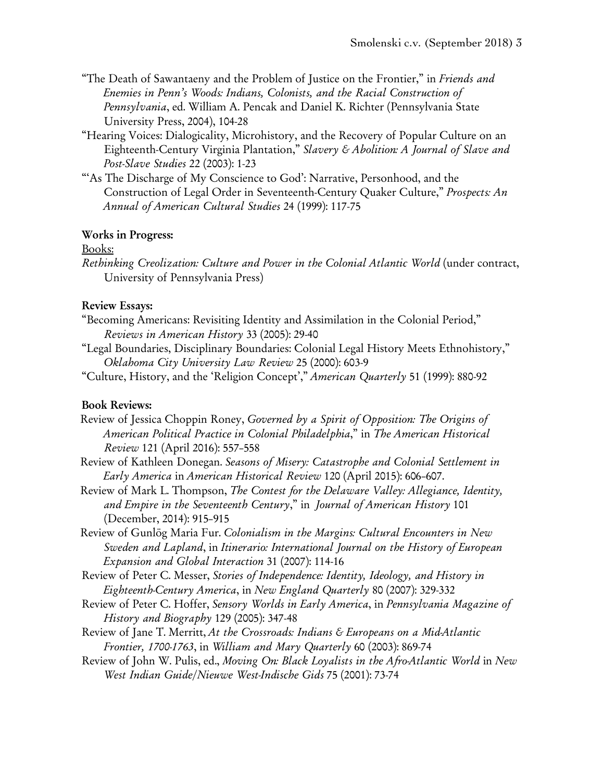- "The Death of Sawantaeny and the Problem of Justice on the Frontier," in *Friends and Enemies in Penn's Woods: Indians, Colonists, and the Racial Construction of Pennsylvania*, ed. William A. Pencak and Daniel K. Richter (Pennsylvania State University Press, 2004), 104-28
- "Hearing Voices: Dialogicality, Microhistory, and the Recovery of Popular Culture on an Eighteenth-Century Virginia Plantation," *Slavery & Abolition: A Journal of Slave and Post-Slave Studies* 22 (2003): 1-23
- ""As The Discharge of My Conscience to God': Narrative, Personhood, and the Construction of Legal Order in Seventeenth-Century Quaker Culture," *Prospects: An Annual of American Cultural Studies* 24 (1999): 117-75

## **Works in Progress:**

### Books:

*Rethinking Creolization: Culture and Power in the Colonial Atlantic World* (under contract, University of Pennsylvania Press)

## **Review Essays:**

- "Becoming Americans: Revisiting Identity and Assimilation in the Colonial Period," *Reviews in American History* 33 (2005): 29-40
- "Legal Boundaries, Disciplinary Boundaries: Colonial Legal History Meets Ethnohistory," *Oklahoma City University Law Review* 25 (2000): 603-9
- "Culture, History, and the 'Religion Concept'," *American Quarterly* 51 (1999): 880-92

# **Book Reviews:**

- Review of Jessica Choppin Roney, *Governed by a Spirit of Opposition: The Origins of American Political Practice in Colonial Philadelphia*," in *The American Historical Review* 121 (April 2016): 557–558
- Review of Kathleen Donegan. *Seasons of Misery: Catastrophe and Colonial Settlement in Early America* in *American Historical Review* 120 (April 2015): 606–607.
- Review of Mark L. Thompson, *The Contest for the Delaware Valley: Allegiance, Identity, and Empire in the Seventeenth Century*," in *Journal of American History* 101 (December, 2014): 915–915
- Review of Gunlög Maria Fur. *Colonialism in the Margins: Cultural Encounters in New Sweden and Lapland*, in *Itinerario: International Journal on the History of European Expansion and Global Interaction* 31 (2007): 114-16
- Review of Peter C. Messer, *Stories of Independence: Identity, Ideology, and History in Eighteenth-Century America*, in *New England Quarterly* 80 (2007): 329-332
- Review of Peter C. Hoffer, *Sensory Worlds in Early America*, in *Pennsylvania Magazine of History and Biography* 129 (2005): 347-48
- Review of Jane T. Merritt, *At the Crossroads: Indians & Europeans on a Mid-Atlantic Frontier, 1700-1763*, in *William and Mary Quarterly* 60 (2003): 869-74
- Review of John W. Pulis, ed., *Moving On: Black Loyalists in the Afro-Atlantic World* in *New West Indian Guide/Nieuwe West-Indische Gids* 75 (2001): 73-74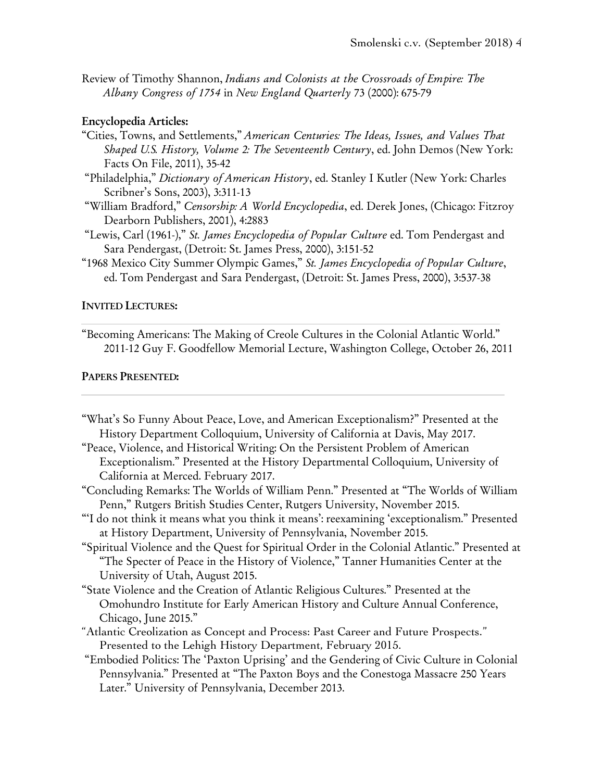Review of Timothy Shannon, *Indians and Colonists at the Crossroads of Empire: The Albany Congress of 1754* in *New England Quarterly* 73 (2000): 675-79

### **Encyclopedia Articles:**

- "Cities, Towns, and Settlements," *American Centuries: The Ideas, Issues, and Values That Shaped U.S. History, Volume 2: The Seventeenth Century*, ed. John Demos (New York: Facts On File, 2011), 35-42
- "Philadelphia," *Dictionary of American History*, ed. Stanley I Kutler (New York: Charles Scribner's Sons, 2003), 3:311-13
- "William Bradford," *Censorship: A World Encyclopedia*, ed. Derek Jones, (Chicago: Fitzroy Dearborn Publishers, 2001), 4:2883
- "Lewis, Carl (1961-)," *St. James Encyclopedia of Popular Culture* ed. Tom Pendergast and Sara Pendergast, (Detroit: St. James Press, 2000), 3:151-52
- "1968 Mexico City Summer Olympic Games," *St. James Encyclopedia of Popular Culture*, ed. Tom Pendergast and Sara Pendergast, (Detroit: St. James Press, 2000), 3:537-38

### **INVITED LECTURES:**

"Becoming Americans: The Making of Creole Cultures in the Colonial Atlantic World." 2011-12 Guy F. Goodfellow Memorial Lecture, Washington College, October 26, 2011

#### **PAPERS PRESENTED:**

- "What's So Funny About Peace, Love, and American Exceptionalism?" Presented at the History Department Colloquium, University of California at Davis, May 2017.
- "Peace, Violence, and Historical Writing: On the Persistent Problem of American Exceptionalism." Presented at the History Departmental Colloquium, University of California at Merced. February 2017.
- "Concluding Remarks: The Worlds of William Penn." Presented at "The Worlds of William Penn," Rutgers British Studies Center, Rutgers University, November 2015.
- "'I do not think it means what you think it means': reexamining 'exceptionalism." Presented at History Department, University of Pennsylvania, November 2015.
- "Spiritual Violence and the Quest for Spiritual Order in the Colonial Atlantic." Presented at "The Specter of Peace in the History of Violence," Tanner Humanities Center at the University of Utah, August 2015.
- "State Violence and the Creation of Atlantic Religious Cultures." Presented at the Omohundro Institute for Early American History and Culture Annual Conference, Chicago, June 2015."
- "Atlantic Creolization as Concept and Process: Past Career and Future Prospects." Presented to the Lehigh History Department, February 2015.
- "Embodied Politics: The 'Paxton Uprising' and the Gendering of Civic Culture in Colonial Pennsylvania." Presented at "The Paxton Boys and the Conestoga Massacre 250 Years Later." University of Pennsylvania, December 2013.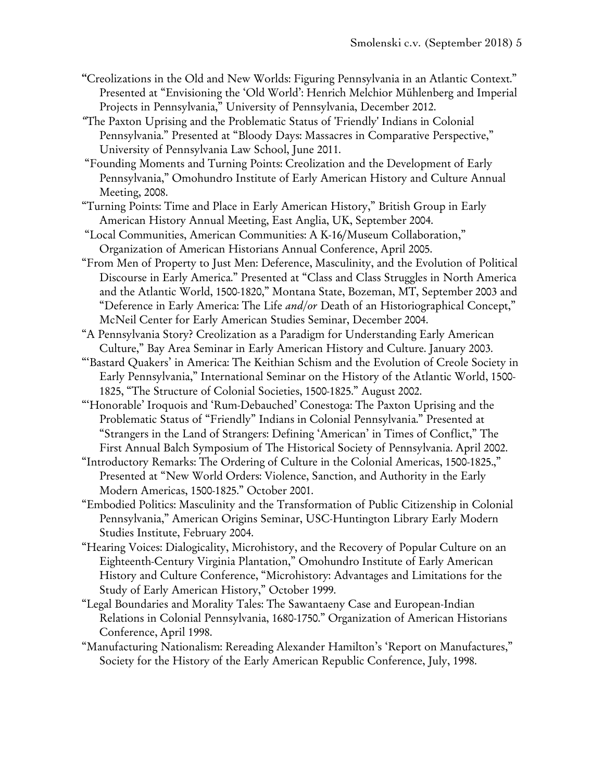- **"**Creolizations in the Old and New Worlds: Figuring Pennsylvania in an Atlantic Context." Presented at "Envisioning the 'Old World': Henrich Melchior Mühlenberg and Imperial Projects in Pennsylvania," University of Pennsylvania, December 2012.
- *"*The Paxton Uprising and the Problematic Status of 'Friendly' Indians in Colonial Pennsylvania." Presented at "Bloody Days: Massacres in Comparative Perspective," University of Pennsylvania Law School, June 2011.
- "Founding Moments and Turning Points: Creolization and the Development of Early Pennsylvania," Omohundro Institute of Early American History and Culture Annual Meeting, 2008.
- "Turning Points: Time and Place in Early American History," British Group in Early American History Annual Meeting, East Anglia, UK, September 2004.
- "Local Communities, American Communities: A K-16/Museum Collaboration," Organization of American Historians Annual Conference, April 2005.
- "From Men of Property to Just Men: Deference, Masculinity, and the Evolution of Political Discourse in Early America." Presented at "Class and Class Struggles in North America and the Atlantic World, 1500-1820," Montana State, Bozeman, MT, September 2003 and "Deference in Early America: The Life *and/or* Death of an Historiographical Concept," McNeil Center for Early American Studies Seminar, December 2004.
- "A Pennsylvania Story? Creolization as a Paradigm for Understanding Early American Culture," Bay Area Seminar in Early American History and Culture. January 2003.
- "'Bastard Quakers' in America: The Keithian Schism and the Evolution of Creole Society in Early Pennsylvania," International Seminar on the History of the Atlantic World, 1500- 1825, "The Structure of Colonial Societies, 1500-1825." August 2002.
- "'Honorable' Iroquois and 'Rum-Debauched' Conestoga: The Paxton Uprising and the Problematic Status of "Friendly" Indians in Colonial Pennsylvania." Presented at "Strangers in the Land of Strangers: Defining 'American' in Times of Conflict," The First Annual Balch Symposium of The Historical Society of Pennsylvania. April 2002.
- "Introductory Remarks: The Ordering of Culture in the Colonial Americas, 1500-1825.," Presented at "New World Orders: Violence, Sanction, and Authority in the Early Modern Americas, 1500-1825." October 2001.
- "Embodied Politics: Masculinity and the Transformation of Public Citizenship in Colonial Pennsylvania," American Origins Seminar, USC-Huntington Library Early Modern Studies Institute, February 2004.
- "Hearing Voices: Dialogicality, Microhistory, and the Recovery of Popular Culture on an Eighteenth-Century Virginia Plantation," Omohundro Institute of Early American History and Culture Conference, "Microhistory: Advantages and Limitations for the Study of Early American History," October 1999.
- "Legal Boundaries and Morality Tales: The Sawantaeny Case and European-Indian Relations in Colonial Pennsylvania, 1680-1750." Organization of American Historians Conference, April 1998.
- "Manufacturing Nationalism: Rereading Alexander Hamilton's 'Report on Manufactures," Society for the History of the Early American Republic Conference, July, 1998.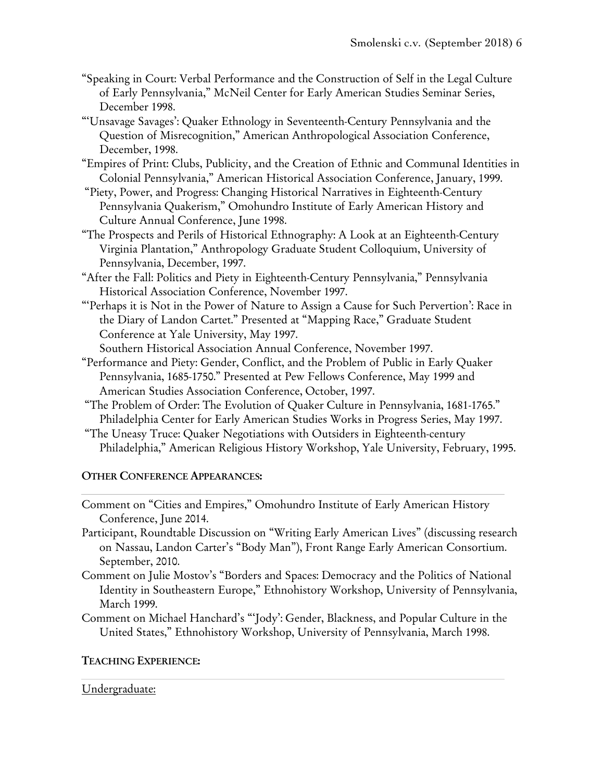- "Speaking in Court: Verbal Performance and the Construction of Self in the Legal Culture of Early Pennsylvania," McNeil Center for Early American Studies Seminar Series, December 1998.
- "'Unsavage Savages': Quaker Ethnology in Seventeenth-Century Pennsylvania and the Question of Misrecognition," American Anthropological Association Conference, December, 1998.
- "Empires of Print: Clubs, Publicity, and the Creation of Ethnic and Communal Identities in Colonial Pennsylvania," American Historical Association Conference, January, 1999.
- "Piety, Power, and Progress: Changing Historical Narratives in Eighteenth-Century Pennsylvania Quakerism," Omohundro Institute of Early American History and Culture Annual Conference, June 1998.
- "The Prospects and Perils of Historical Ethnography: A Look at an Eighteenth-Century Virginia Plantation," Anthropology Graduate Student Colloquium, University of Pennsylvania, December, 1997.
- "After the Fall: Politics and Piety in Eighteenth-Century Pennsylvania," Pennsylvania Historical Association Conference, November 1997.
- "'Perhaps it is Not in the Power of Nature to Assign a Cause for Such Pervertion': Race in the Diary of Landon Cartet." Presented at "Mapping Race," Graduate Student Conference at Yale University, May 1997.

Southern Historical Association Annual Conference, November 1997.

- "Performance and Piety: Gender, Conflict, and the Problem of Public in Early Quaker Pennsylvania, 1685-1750." Presented at Pew Fellows Conference, May 1999 and American Studies Association Conference, October, 1997.
- "The Problem of Order: The Evolution of Quaker Culture in Pennsylvania, 1681-1765." Philadelphia Center for Early American Studies Works in Progress Series, May 1997.
- "The Uneasy Truce: Quaker Negotiations with Outsiders in Eighteenth-century Philadelphia," American Religious History Workshop, Yale University, February, 1995.

# **OTHER CONFERENCE APPEARANCES:**

- Comment on "Cities and Empires," Omohundro Institute of Early American History Conference, June 2014.
- Participant, Roundtable Discussion on "Writing Early American Lives" (discussing research on Nassau, Landon Carter's "Body Man"), Front Range Early American Consortium. September, 2010.
- Comment on Julie Mostov's "Borders and Spaces: Democracy and the Politics of National Identity in Southeastern Europe," Ethnohistory Workshop, University of Pennsylvania, March 1999.
- Comment on Michael Hanchard's "'Jody': Gender, Blackness, and Popular Culture in the United States," Ethnohistory Workshop, University of Pennsylvania, March 1998.

# **TEACHING EXPERIENCE:**

# Undergraduate: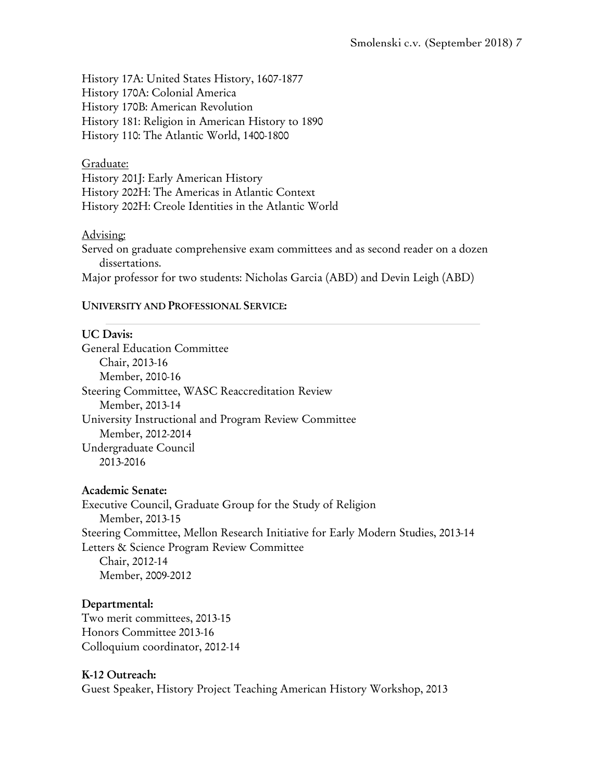History 17A: United States History, 1607-1877 History 170A: Colonial America History 170B: American Revolution History 181: Religion in American History to 1890 History 110: The Atlantic World, 1400-1800

## Graduate:

History 201J: Early American History History 202H: The Americas in Atlantic Context History 202H: Creole Identities in the Atlantic World

## Advising:

Served on graduate comprehensive exam committees and as second reader on a dozen dissertations.

Major professor for two students: Nicholas Garcia (ABD) and Devin Leigh (ABD)

## **UNIVERSITY AND PROFESSIONAL SERVICE:**

# **UC Davis:**

General Education Committee Chair, 2013-16 Member, 2010-16 Steering Committee, WASC Reaccreditation Review Member, 2013-14 University Instructional and Program Review Committee Member, 2012-2014 Undergraduate Council 2013-2016

# **Academic Senate:**

Executive Council, Graduate Group for the Study of Religion Member, 2013-15 Steering Committee, Mellon Research Initiative for Early Modern Studies, 2013-14 Letters & Science Program Review Committee Chair, 2012-14 Member, 2009-2012

# **Departmental:**

Two merit committees, 2013-15 Honors Committee 2013-16 Colloquium coordinator, 2012-14

### **K-12 Outreach:**

Guest Speaker, History Project Teaching American History Workshop, 2013